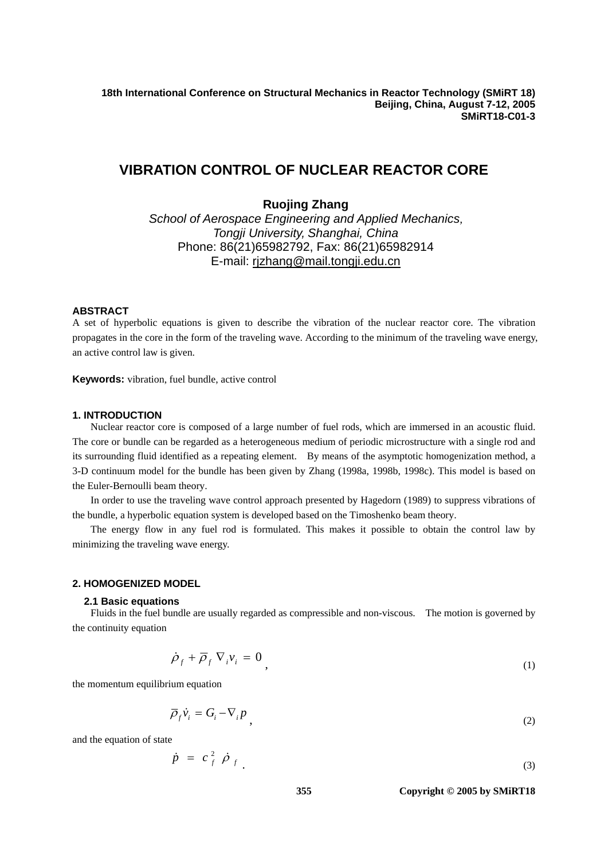**18th International Conference on Structural Mechanics in Reactor Technology (SMiRT 18) Beijing, China, August 7-12, 2005 SMiRT18-C01-3** 

# **VIBRATION CONTROL OF NUCLEAR REACTOR CORE**

**Ruojing Zhang** 

*School of Aerospace Engineering and Applied Mechanics,* *Tongji University, Shanghai, China* Phone: 86(21)65982792, Fax: 86(21)65982914 E-mail: rjzhang@mail.tongji.edu.cn

# **ABSTRACT**

A set of hyperbolic equations is given to describe the vibration of the nuclear reactor core. The vibration propagates in the core in the form of the traveling wave. According to the minimum of the traveling wave energy, an active control law is given.

**Keywords:** vibration, fuel bundle, active control

### **1. INTRODUCTION**

Nuclear reactor core is composed of a large number of fuel rods, which are immersed in an acoustic fluid. The core or bundle can be regarded as a heterogeneous medium of periodic microstructure with a single rod and its surrounding fluid identified as a repeating element. By means of the asymptotic homogenization method, a 3-D continuum model for the bundle has been given by Zhang (1998a, 1998b, 1998c). This model is based on the Euler-Bernoulli beam theory.

In order to use the traveling wave control approach presented by Hagedorn (1989) to suppress vibrations of the bundle, a hyperbolic equation system is developed based on the Timoshenko beam theory.

The energy flow in any fuel rod is formulated. This makes it possible to obtain the control law by minimizing the traveling wave energy.

#### **2. HOMOGENIZED MODEL**

#### **2.1 Basic equations**

Fluids in the fuel bundle are usually regarded as compressible and non-viscous. The motion is governed by the continuity equation

$$
\dot{\rho}_f + \overline{\rho}_f \nabla_i v_i = 0 \tag{1}
$$

the momentum equilibrium equation

$$
\overline{\rho}_f \dot{v}_i = G_i - \nabla_i p \tag{2}
$$

and the equation of state

$$
\dot{p} = c_f^2 \dot{\rho}_f \tag{3}
$$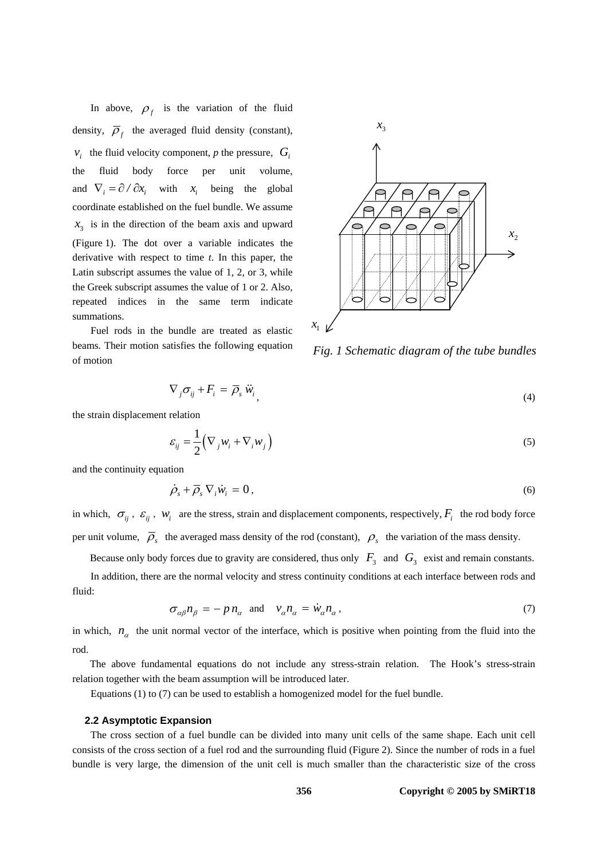In above,  $\rho_f$  is the variation of the fluid density,  $\overline{\rho}_f$  the averaged fluid density (constant),  $v_i$  the fluid velocity component, *p* the pressure,  $G_i$ the fluid body force per unit volume, and  $\nabla_i = \partial / \partial x_i$  with  $x_i$  being the global coordinate established on the fuel bundle. We assume  $x<sub>3</sub>$  is in the direction of the beam axis and upward (Figure 1). The dot over a variable indicates the derivative with respect to time *t*. In this paper, the Latin subscript assumes the value of 1, 2, or 3, while the Greek subscript assumes the value of 1 or 2. Also, repeated indices in the same term indicate summations.

Fuel rods in the bundle are treated as elastic beams. Their motion satisfies the following equation of motion



*Fig. 1 Schematic diagram of the tube bundles* 

$$
\nabla_j \sigma_{ij} + F_i = \overline{\rho}_s \ddot{w}_i \tag{4}
$$

the strain displacement relation

$$
\varepsilon_{ij} = \frac{1}{2} \left( \nabla_j w_i + \nabla_i w_j \right) \tag{5}
$$

and the continuity equation

$$
\dot{\rho}_s + \overline{\rho}_s \nabla_i \dot{w}_i = 0, \qquad (6)
$$

in which,  $\sigma_{ij}$ ,  $\varepsilon_{ij}$ ,  $w_i$  are the stress, strain and displacement components, respectively,  $F_i$  the rod body force per unit volume,  $\overline{\rho}_s$  the averaged mass density of the rod (constant),  $\rho_s$  the variation of the mass density.

Because only body forces due to gravity are considered, thus only  $F_3$  and  $G_3$  exist and remain constants.

In addition, there are the normal velocity and stress continuity conditions at each interface between rods and fluid:

$$
\sigma_{\alpha\beta}n_{\beta} = -p n_{\alpha} \text{ and } v_{\alpha}n_{\alpha} = \dot{w}_{\alpha}n_{\alpha}, \qquad (7)
$$

in which,  $n_a$  the unit normal vector of the interface, which is positive when pointing from the fluid into the rod.

The above fundamental equations do not include any stress-strain relation. The Hook's stress-strain relation together with the beam assumption will be introduced later.

Equations (1) to (7) can be used to establish a homogenized model for the fuel bundle.

#### **2.2 Asymptotic Expansion**

The cross section of a fuel bundle can be divided into many unit cells of the same shape. Each unit cell consists of the cross section of a fuel rod and the surrounding fluid (Figure 2). Since the number of rods in a fuel bundle is very large, the dimension of the unit cell is much smaller than the characteristic size of the cross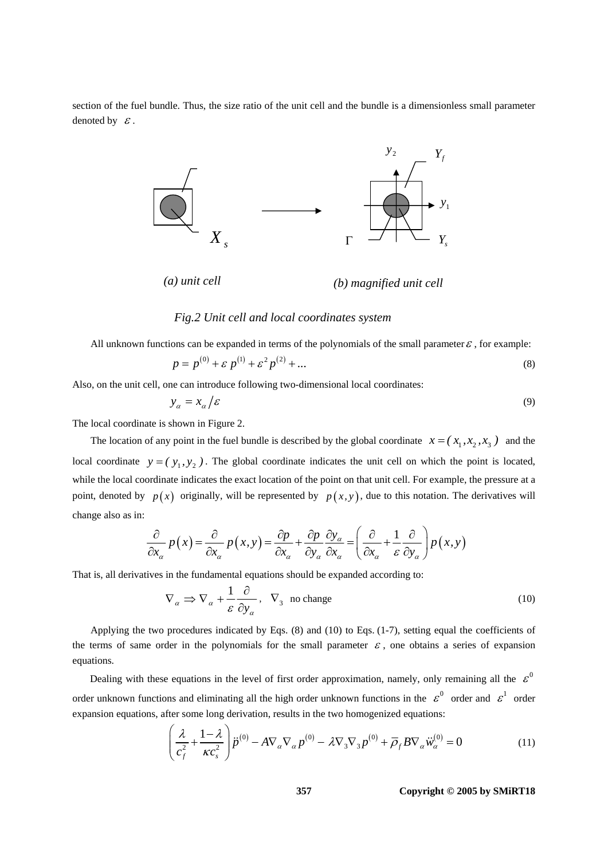section of the fuel bundle. Thus, the size ratio of the unit cell and the bundle is a dimensionless small parameter denoted by  $\mathcal{E}$ .



# *Fig.2 Unit cell and local coordinates system*

All unknown functions can be expanded in terms of the polynomials of the small parameter  $\mathcal{E}$ , for example:

$$
p = p^{(0)} + \varepsilon \ p^{(1)} + \varepsilon^2 \ p^{(2)} + \dots \tag{8}
$$

Also, on the unit cell, one can introduce following two-dimensional local coordinates:

$$
y_{\alpha} = x_{\alpha}/\varepsilon \tag{9}
$$

The local coordinate is shown in Figure 2.

The location of any point in the fuel bundle is described by the global coordinate  $x = (x_1, x_2, x_3)$  and the local coordinate  $y = (y_1, y_2)$ . The global coordinate indicates the unit cell on which the point is located, while the local coordinate indicates the exact location of the point on that unit cell. For example, the pressure at a point, denoted by  $p(x)$  originally, will be represented by  $p(x, y)$ , due to this notation. The derivatives will change also as in:

$$
\frac{\partial}{\partial x_{\alpha}} p(x) = \frac{\partial}{\partial x_{\alpha}} p(x, y) = \frac{\partial p}{\partial x_{\alpha}} + \frac{\partial p}{\partial y_{\alpha}} \frac{\partial y_{\alpha}}{\partial x_{\alpha}} = \left(\frac{\partial}{\partial x_{\alpha}} + \frac{1}{\varepsilon} \frac{\partial}{\partial y_{\alpha}}\right) p(x, y)
$$

That is, all derivatives in the fundamental equations should be expanded according to:

$$
\nabla_{\alpha} \Rightarrow \nabla_{\alpha} + \frac{1}{\varepsilon} \frac{\partial}{\partial y_{\alpha}}, \quad \nabla_{3} \text{ no change}
$$
 (10)

Applying the two procedures indicated by Eqs. (8) and (10) to Eqs. (1-7), setting equal the coefficients of the terms of same order in the polynomials for the small parameter  $\varepsilon$ , one obtains a series of expansion equations.

Dealing with these equations in the level of first order approximation, namely, only remaining all the  $\varepsilon^0$ order unknown functions and eliminating all the high order unknown functions in the  $\epsilon^0$  order and  $\epsilon^1$  order expansion equations, after some long derivation, results in the two homogenized equations:

$$
\left(\frac{\lambda}{c_f^2} + \frac{1-\lambda}{\kappa c_s^2}\right)\ddot{p}^{(0)} - A\nabla_\alpha \nabla_\alpha p^{(0)} - \lambda \nabla_3 \nabla_3 p^{(0)} + \overline{\rho}_f B \nabla_\alpha \ddot{w}_\alpha^{(0)} = 0
$$
\n(11)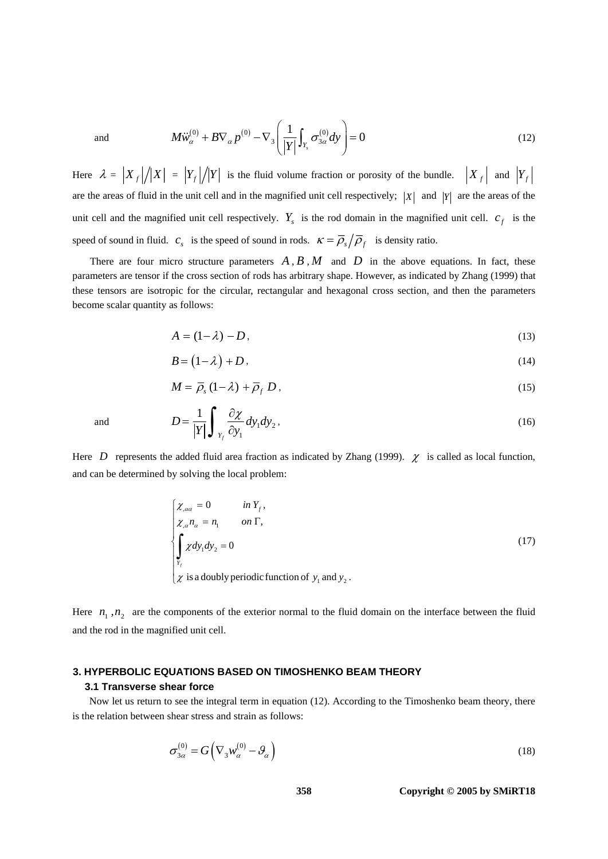and 
$$
M\ddot{w}_{\alpha}^{(0)} + B\nabla_{\alpha} p^{(0)} - \nabla_{3} \left( \frac{1}{|Y|} \int_{Y_{s}} \sigma_{3\alpha}^{(0)} dy \right) = 0
$$
 (12)

Here  $\lambda = |X_f|/|X| = |Y_f|/|Y|$  is the fluid volume fraction or porosity of the bundle.  $|X_f|$  and  $|Y_f|$ are the areas of fluid in the unit cell and in the magnified unit cell respectively;  $|X|$  and  $|Y|$  are the areas of the unit cell and the magnified unit cell respectively.  $Y_s$  is the rod domain in the magnified unit cell.  $c_f$  is the speed of sound in fluid.  $c_s$  is the speed of sound in rods.  $\kappa = \overline{\rho}_s / \overline{\rho}_f$  is density ratio.

There are four micro structure parameters  $A, B, M$  and  $D$  in the above equations. In fact, these parameters are tensor if the cross section of rods has arbitrary shape. However, as indicated by Zhang (1999) that these tensors are isotropic for the circular, rectangular and hexagonal cross section, and then the parameters become scalar quantity as follows:

$$
A = (1 - \lambda) - D,\tag{13}
$$

$$
B = (1 - \lambda) + D, \tag{14}
$$

$$
M = \overline{\rho}_s \left( 1 - \lambda \right) + \overline{\rho}_f \, D \,, \tag{15}
$$

and 
$$
D = \frac{1}{|Y|} \int_{Y_f} \frac{\partial \chi}{\partial y_1} dy_1 dy_2, \qquad (16)
$$

Here *D* represents the added fluid area fraction as indicated by Zhang (1999).  $\chi$  is called as local function, and can be determined by solving the local problem:

$$
\begin{cases}\n\chi_{,\alpha\alpha} = 0 & \text{in } Y_f, \\
\chi_{,\alpha} n_{\alpha} = n_1 & \text{on } \Gamma,\n\end{cases}
$$
\n
$$
\int_{Y_f} \chi dy_1 dy_2 = 0
$$
\n(17)\n
$$
\chi
$$
 is a doubly periodic function of  $y_1$  and  $y_2$ .

Here  $n_1$ ,  $n_2$  are the components of the exterior normal to the fluid domain on the interface between the fluid and the rod in the magnified unit cell.

### **3. HYPERBOLIC EQUATIONS BASED ON TIMOSHENKO BEAM THEORY**

### **3.1 Transverse shear force**

Now let us return to see the integral term in equation (12). According to the Timoshenko beam theory, there is the relation between shear stress and strain as follows:

$$
\sigma_{3\alpha}^{(0)} = G \Big( \nabla_3 w_{\alpha}^{(0)} - \mathcal{G}_{\alpha} \Big)
$$
 (18)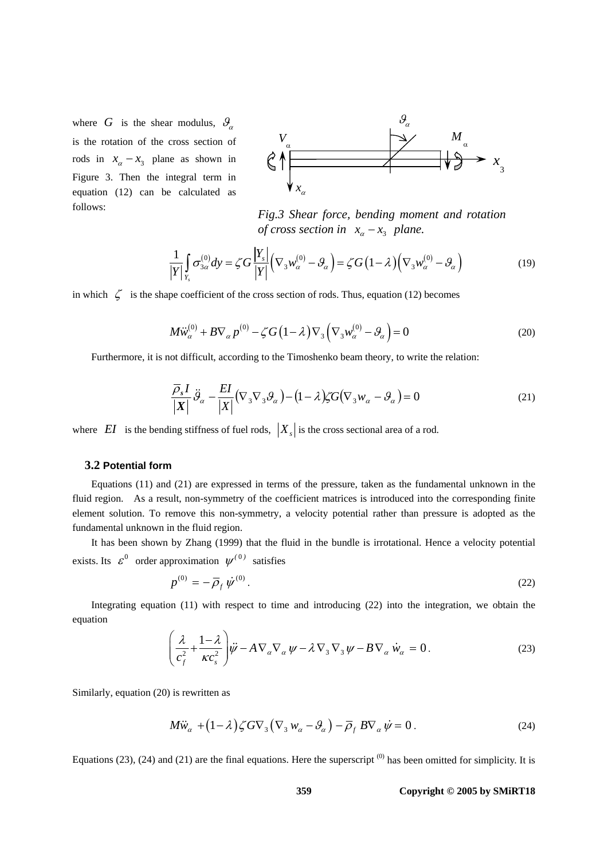where *G* is the shear modulus,  $\theta_{\alpha}$ is the rotation of the cross section of rods in  $x_{\alpha} - x_3$  plane as shown in Figure 3. Then the integral term in equation (12) can be calculated as follows:



*Fig.3 Shear force, bending moment and rotation of cross section in*  $x_a - x_3$  *plane.* 

$$
\frac{1}{|Y|} \int_{Y_s} \sigma_{3\alpha}^{(0)} dy = \zeta G \frac{|Y_s|}{|Y|} \left( \nabla_3 w_{\alpha}^{(0)} - \mathcal{G}_{\alpha} \right) = \zeta G \left( 1 - \lambda \right) \left( \nabla_3 w_{\alpha}^{(0)} - \mathcal{G}_{\alpha} \right)
$$
(19)

in which  $\zeta$  is the shape coefficient of the cross section of rods. Thus, equation (12) becomes

$$
M\ddot{w}^{(0)}_{\alpha} + B\nabla_{\alpha} p^{(0)} - \zeta G \left(1 - \lambda\right) \nabla_3 \left(\nabla_3 w^{(0)}_{\alpha} - \vartheta_{\alpha}\right) = 0
$$
\n(20)

Furthermore, it is not difficult, according to the Timoshenko beam theory, to write the relation:

$$
\frac{\overline{\rho}_s I}{|X|} \ddot{\mathcal{G}}_\alpha - \frac{EI}{|X|} (\nabla_3 \nabla_3 \mathcal{G}_\alpha) - (1 - \lambda) \zeta G(\nabla_3 w_\alpha - \mathcal{G}_\alpha) = 0 \tag{21}
$$

where *EI* is the bending stiffness of fuel rods,  $|X_{s}|$  is the cross sectional area of a rod.

### **3.2 Potential form**

Equations (11) and (21) are expressed in terms of the pressure, taken as the fundamental unknown in the fluid region. As a result, non-symmetry of the coefficient matrices is introduced into the corresponding finite element solution. To remove this non-symmetry, a velocity potential rather than pressure is adopted as the fundamental unknown in the fluid region.

It has been shown by Zhang (1999) that the fluid in the bundle is irrotational. Hence a velocity potential exists. Its  $\varepsilon^0$  order approximation  $\psi^{(0)}$  satisfies

$$
p^{(0)} = -\bar{p}_f \dot{\psi}^{(0)}.
$$
 (22)

Integrating equation (11) with respect to time and introducing (22) into the integration, we obtain the equation

$$
\left(\frac{\lambda}{c_f^2} + \frac{1-\lambda}{\kappa c_s^2}\right)\ddot{\psi} - A\nabla_\alpha \nabla_\alpha \psi - \lambda \nabla_3 \nabla_3 \psi - B\nabla_\alpha \dot{w}_\alpha = 0.
$$
\n(23)

Similarly, equation (20) is rewritten as

$$
M\ddot{w}_{\alpha} + (1 - \lambda)\zeta G \nabla_3 (\nabla_3 w_{\alpha} - \mathcal{G}_{\alpha}) - \overline{\rho}_f B \nabla_{\alpha} \dot{\psi} = 0.
$$
 (24)

Equations (23), (24) and (21) are the final equations. Here the superscript  $^{(0)}$  has been omitted for simplicity. It is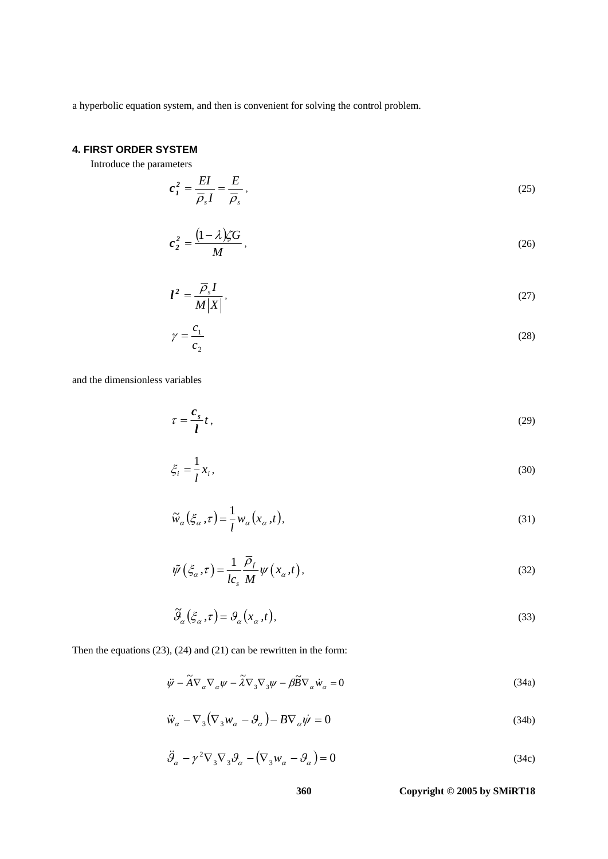a hyperbolic equation system, and then is convenient for solving the control problem.

# **4. FIRST ORDER SYSTEM**

Introduce the parameters

$$
c_I^2 = \frac{EI}{\overline{\rho}_s I} = \frac{E}{\overline{\rho}_s},\tag{25}
$$

$$
c_2^2 = \frac{(1-\lambda)\zeta G}{M},\qquad(26)
$$

$$
l^2 = \frac{\overline{\rho}_s I}{M|X|},\tag{27}
$$

$$
\gamma = \frac{c_1}{c_2} \tag{28}
$$

and the dimensionless variables

$$
\tau = \frac{c_s}{l} t \,, \tag{29}
$$

$$
\xi_i = \frac{1}{l} x_i,\tag{30}
$$

$$
\widetilde{w}_{\alpha}(\xi_{\alpha}, \tau) = \frac{1}{l} w_{\alpha}(x_{\alpha}, t), \qquad (31)
$$

$$
\tilde{\psi}\left(\xi_{\alpha},\tau\right) = \frac{1}{lc_s} \frac{\overline{\rho}_f}{M} \psi\left(x_{\alpha},t\right),\tag{32}
$$

$$
\widetilde{\mathcal{G}}_{\alpha}\left(\xi_{\alpha},\tau\right) = \mathcal{G}_{\alpha}\left(x_{\alpha},t\right),\tag{33}
$$

Then the equations (23), (24) and (21) can be rewritten in the form:

$$
\ddot{\psi} - \tilde{A} \nabla_{\alpha} \nabla_{\alpha} \psi - \tilde{\lambda} \nabla_{3} \nabla_{3} \psi - \beta \tilde{B} \nabla_{\alpha} \dot{w}_{\alpha} = 0
$$
\n(34a)

$$
\ddot{w}_{\alpha} - \nabla_3 (\nabla_3 w_{\alpha} - \mathcal{G}_{\alpha}) - B \nabla_{\alpha} \dot{\psi} = 0
$$
\n(34b)

$$
\ddot{\mathcal{G}}_{\alpha} - \gamma^2 \nabla_3 \nabla_3 \mathcal{G}_{\alpha} - (\nabla_3 w_{\alpha} - \mathcal{G}_{\alpha}) = 0 \tag{34c}
$$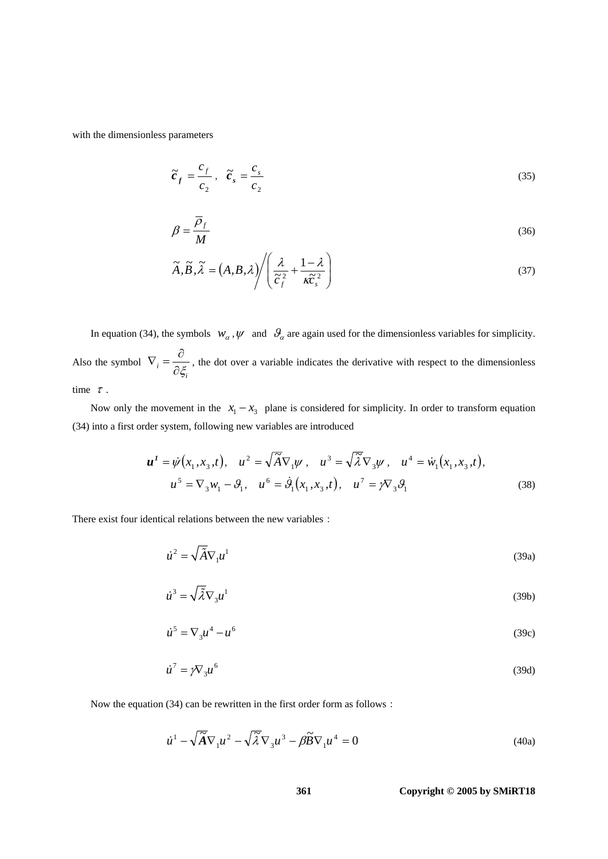with the dimensionless parameters

$$
\widetilde{\boldsymbol{c}}_f = \frac{c_f}{c_2}, \quad \widetilde{\boldsymbol{c}}_s = \frac{c_s}{c_2} \tag{35}
$$

$$
\beta = \frac{\overline{\rho}_f}{M} \tag{36}
$$

$$
\widetilde{A}, \widetilde{B}, \widetilde{\lambda} = (A, B, \lambda) \Bigg/ \Bigg( \frac{\lambda}{\widetilde{c}_f^2} + \frac{1 - \lambda}{\kappa \widetilde{c}_s^2} \Bigg)
$$
\n(37)

In equation (34), the symbols  $w_\alpha$ ,  $\psi$  and  $\theta_\alpha$  are again used for the dimensionless variables for simplicity. Also the symbol  $\nabla_i$ *i* ξ  $\nabla_i = \frac{\partial}{\partial_i}$  $\frac{\partial \zeta_i}{\partial \zeta_i}$ , the dot over a variable indicates the derivative with respect to the dimensionless time  $\tau$ .

Now only the movement in the  $x_1 - x_3$  plane is considered for simplicity. In order to transform equation (34) into a first order system, following new variables are introduced

$$
\mathbf{u}^{1} = \dot{\psi}(x_{1}, x_{3}, t), \quad u^{2} = \sqrt{\tilde{A}} \nabla_{1} \psi, \quad u^{3} = \sqrt{\tilde{\lambda}} \nabla_{3} \psi, \quad u^{4} = \dot{w}_{1}(x_{1}, x_{3}, t),
$$

$$
u^{5} = \nabla_{3} w_{1} - \theta_{1}, \quad u^{6} = \dot{\theta}_{1}(x_{1}, x_{3}, t), \quad u^{7} = \gamma \nabla_{3} \theta_{1}
$$
(38)

There exist four identical relations between the new variables:

$$
\dot{u}^2 = \sqrt{\tilde{A}} \nabla_1 u^1 \tag{39a}
$$

$$
\dot{u}^3 = \sqrt{\tilde{\lambda}} \nabla_3 u^1 \tag{39b}
$$

$$
\dot{u}^5 = \nabla_3 u^4 - u^6 \tag{39c}
$$

$$
\dot{u}^7 = \gamma \nabla_3 u^6 \tag{39d}
$$

Now the equation (34) can be rewritten in the first order form as follows:

$$
\dot{u}^1 - \sqrt{\tilde{A}} \nabla_1 u^2 - \sqrt{\tilde{\lambda}} \nabla_3 u^3 - \beta \tilde{B} \nabla_1 u^4 = 0
$$
\n(40a)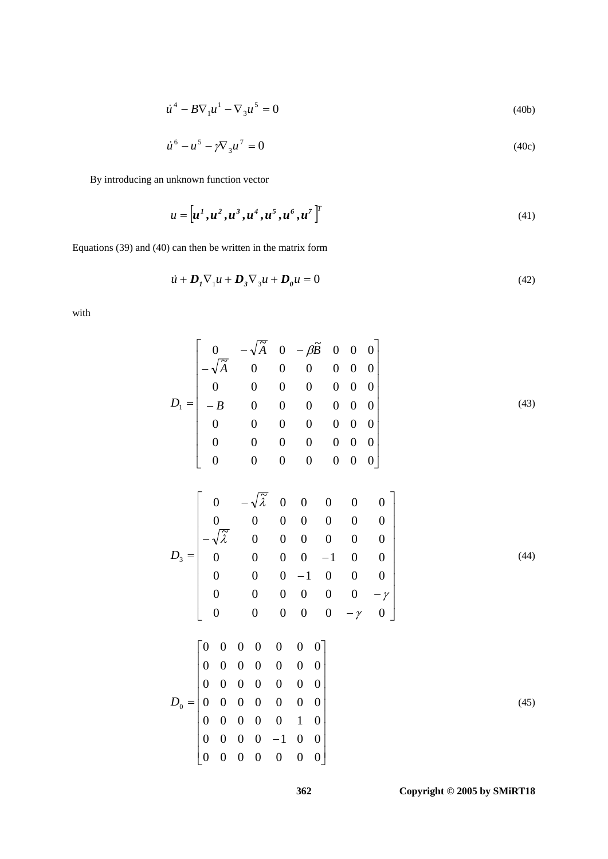$$
\dot{u}^4 - B \nabla_1 u^1 - \nabla_3 u^5 = 0 \tag{40b}
$$

$$
\dot{u}^6 - u^5 - \gamma \nabla_3 u^7 = 0 \tag{40c}
$$

By introducing an unknown function vector

$$
u = [u^1, u^2, u^3, u^4, u^5, u^6, u^7]^T
$$
\n(41)

Equations (39) and (40) can then be written in the matrix form

$$
\dot{u} + \mathbf{D}_1 \nabla_1 u + \mathbf{D}_3 \nabla_3 u + \mathbf{D}_0 u = 0 \tag{42}
$$

with

$$
D_{1} = \begin{bmatrix}\n0 & -\sqrt{\tilde{A}} & 0 & -\beta \tilde{B} & 0 & 0 & 0 \\
-\sqrt{\tilde{A}} & 0 & 0 & 0 & 0 & 0 & 0 \\
0 & 0 & 0 & 0 & 0 & 0 & 0 & 0 \\
0 & 0 & 0 & 0 & 0 & 0 & 0 & 0 \\
0 & 0 & 0 & 0 & 0 & 0 & 0 & 0 \\
0 & 0 & 0 & 0 & 0 & 0 & 0 & 0\n\end{bmatrix}
$$
\n
$$
D_{3} = \begin{bmatrix}\n0 & -\sqrt{\tilde{A}} & 0 & 0 & 0 & 0 & 0 \\
0 & 0 & 0 & 0 & 0 & 0 & 0 \\
0 & 0 & 0 & 0 & -1 & 0 & 0 \\
0 & 0 & 0 & 0 & 0 & -\gamma & 0 \\
0 & 0 & 0 & 0 & 0 & -\gamma & 0\n\end{bmatrix}
$$
\n
$$
D_{0} = \begin{bmatrix}\n0 & 0 & 0 & 0 & 0 & 0 & 0 \\
0 & 0 & 0 & 0 & 0 & 0 & 0 \\
0 & 0 & 0 & 0 & 0 & 0 & 0 \\
0 & 0 & 0 & 0 & 0 & 0 & 0 \\
0 & 0 & 0 & 0 & 0 & 0 & 0 \\
0 & 0 & 0 & 0 & 0 & 0 & 0 \\
0 & 0 & 0 & 0 & 0 & 0 & 0\n\end{bmatrix}
$$
\n
$$
D_{0} = \begin{bmatrix}\n0 & 0 & 0 & 0 & 0 & 0 & 0 \\
0 & 0 & 0 & 0 & 0 & 0 & 0 \\
0 & 0 & 0 & 0 & 0 & 0 & 0 \\
0 & 0 & 0 & 0 & 0 & 0 & 0 \\
0 & 0 & 0 & 0 & 0 & 0 & 0 \\
0 & 0 & 0 & 0 & 0 & 0 & 0\n\end{bmatrix}
$$
\n(45)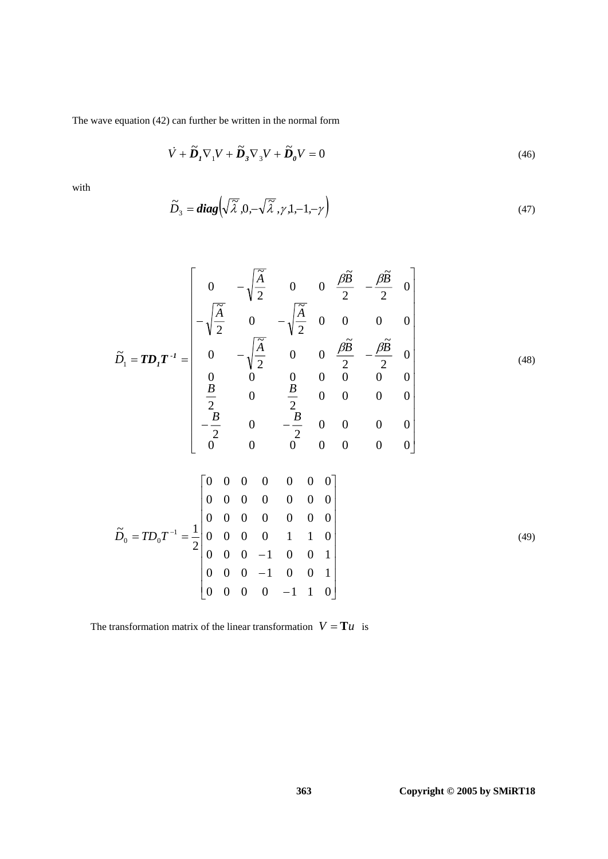The wave equation (42) can further be written in the normal form

$$
\dot{V} + \tilde{D}_I \nabla_1 V + \tilde{D}_3 \nabla_3 V + \tilde{D}_0 V = 0
$$
\n(46)

with

$$
\widetilde{D}_3 = diag\left(\sqrt{\widetilde{\lambda}}, 0, -\sqrt{\widetilde{\lambda}}, \gamma, 1, -1, -\gamma\right)
$$
\n(47)

$$
\widetilde{D}_1 = TD_1 T^{-1} = \begin{bmatrix}\n0 & -\sqrt{\frac{\widetilde{A}}{2}} & 0 & 0 & \frac{\beta \widetilde{B}}{2} & -\frac{\beta \widetilde{B}}{2} & 0 \\
-\sqrt{\frac{\widetilde{A}}{2}} & 0 & -\sqrt{\frac{\widetilde{A}}{2}} & 0 & 0 & 0 & 0 \\
0 & -\sqrt{\frac{\widetilde{A}}{2}} & 0 & 0 & \frac{\beta \widetilde{B}}{2} & -\frac{\beta \widetilde{B}}{2} & 0 \\
0 & 0 & 0 & 0 & 0 & 0 & 0 \\
\frac{\beta}{2} & 0 & \frac{\beta}{2} & 0 & 0 & 0 & 0 \\
-\frac{\beta}{2} & 0 & -\frac{\beta}{2} & 0 & 0 & 0 & 0 \\
0 & 0 & 0 & 0 & 0 & 0 & 0\n\end{bmatrix}
$$
\n
$$
\widetilde{D}_0 = TD_0 T^{-1} = \frac{1}{2} \begin{bmatrix}\n0 & 0 & 0 & 0 & 0 & 0 & 0 \\
0 & 0 & 0 & 0 & 0 & 0 & 0 \\
0 & 0 & 0 & 0 & 0 & 0 & 0 \\
0 & 0 & 0 & 0 & 1 & 1 & 0 \\
0 & 0 & 0 & -1 & 0 & 0 & 1\n\end{bmatrix}
$$
\n(49)

 $\overline{\phantom{a}}$ ⎥

The transformation matrix of the linear transformation  $V = T u$  is

 $\mathsf I$ 

 $\begin{bmatrix} 0 & 0 & 0 & 0 & -1 & 1 & 0 \end{bmatrix}$ 

 $0 \t 0 \t 0 \t -1 \t 1 \t 0$  $0 \t 0 \t -1 \t 0 \t 0 \t 1$ 

−

 $\begin{bmatrix} 0 & 0 & 0 & 0 & - \end{bmatrix}$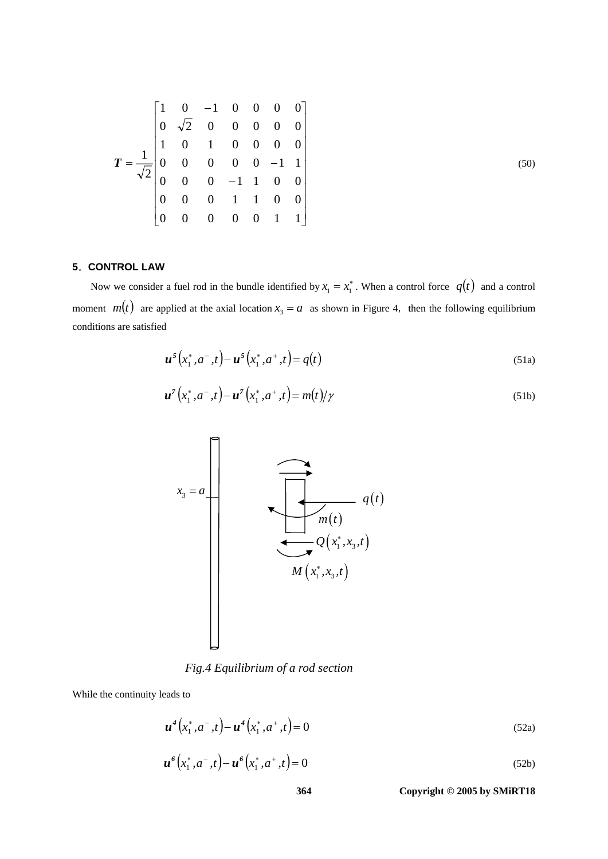$$
T = \frac{1}{\sqrt{2}} \begin{bmatrix} 1 & 0 & -1 & 0 & 0 & 0 & 0 \\ 0 & \sqrt{2} & 0 & 0 & 0 & 0 & 0 \\ 1 & 0 & 1 & 0 & 0 & 0 & 0 \\ 0 & 0 & 0 & 0 & 0 & -1 & 1 \\ 0 & 0 & 0 & -1 & 1 & 0 & 0 \\ 0 & 0 & 0 & 1 & 1 & 0 & 0 \\ 0 & 0 & 0 & 0 & 0 & 1 & 1 \end{bmatrix}
$$
(50)

# **5**.**CONTROL LAW**

Now we consider a fuel rod in the bundle identified by  $x_1 = x_1^*$ . When a control force  $q(t)$  and a control moment  $m(t)$  are applied at the axial location  $x_3 = a$  as shown in Figure 4, then the following equilibrium conditions are satisfied

$$
\boldsymbol{u}^{s}\left(x_{1}^{*}, a^{-}, t\right) - \boldsymbol{u}^{s}\left(x_{1}^{*}, a^{+}, t\right) = q(t)
$$
\n(51a)

$$
\boldsymbol{u}^{\tau}\left(x_{1}^{*}, a^{-}, t\right) - \boldsymbol{u}^{\tau}\left(x_{1}^{*}, a^{+}, t\right) = m(t)/\gamma
$$
\n(51b)



*Fig.4 Equilibrium of a rod section*

While the continuity leads to

$$
\boldsymbol{u}^4(x_1^*, a^-, t) - \boldsymbol{u}^4(x_1^*, a^+, t) = 0
$$
\n(52a)\n
$$
\boldsymbol{u}^6(x_1^*, a^-, t) - \boldsymbol{u}^6(x_1^*, a^+, t) = 0
$$
\n(52b)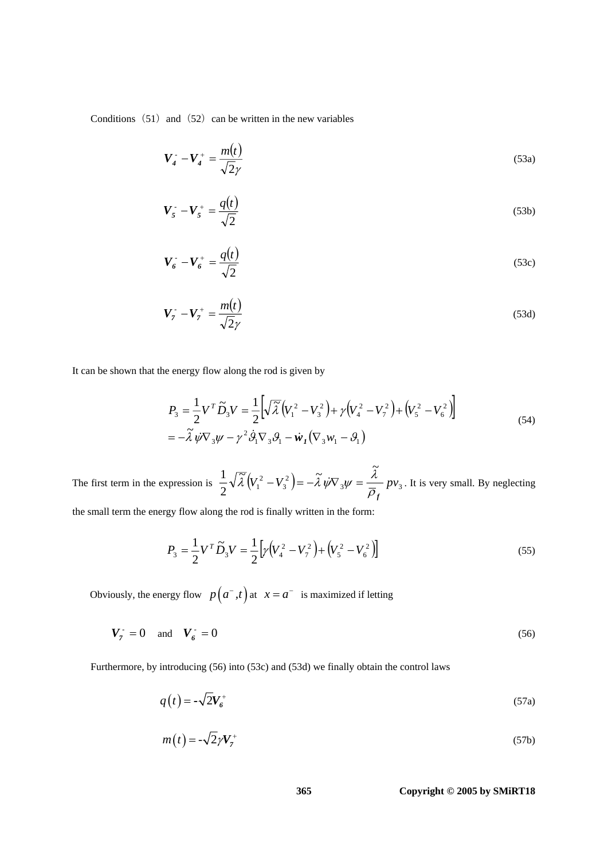Conditions  $(51)$  and  $(52)$  can be written in the new variables

$$
\boldsymbol{V}_4 - \boldsymbol{V}_4^+ = \frac{m(t)}{\sqrt{2}\gamma} \tag{53a}
$$

$$
V_5 - V_5^+ = \frac{q(t)}{\sqrt{2}}\tag{53b}
$$

$$
V_6^- - V_6^+ = \frac{q(t)}{\sqrt{2}}\tag{53c}
$$

$$
V_7 - V_7^+ = \frac{m(t)}{\sqrt{2}\gamma} \tag{53d}
$$

It can be shown that the energy flow along the rod is given by

$$
P_3 = \frac{1}{2} V^T \tilde{D}_3 V = \frac{1}{2} \left[ \sqrt{\tilde{\lambda}} \left( V_1^2 - V_3^2 \right) + \gamma \left( V_4^2 - V_7^2 \right) + \left( V_5^2 - V_6^2 \right) \right]
$$
  
=  $-\tilde{\lambda} \psi \nabla_3 \psi - \gamma^2 \dot{\vartheta}_1 \nabla_3 \vartheta_1 - \dot{\psi}_1 (\nabla_3 w_1 - \vartheta_1)$  (54)

The first term in the expression is  $\frac{1}{2}\sqrt{\lambda} (V_1^2 - V_3^2) = -\lambda \hat{\psi} \nabla_3 \psi = -\frac{\lambda}{\pi} p v_3$ 3 2  $2^{V^{2}V^{1}}$  $\frac{1}{2}\sqrt{\tilde{\lambda}}\left(V_1^2-V_3^2\right)=-\tilde{\lambda}\psi\nabla_3\psi=\frac{\tilde{\lambda}}{2}p\nu$  $\rho_{_f}$  $\overline{\tilde{\lambda}}(V_1^2 - V_3^2) = -\tilde{\lambda} \psi \nabla_3 \psi = \frac{\lambda}{\sqrt{2}} p v_3$ . It is very small. By neglecting

the small term the energy flow along the rod is finally written in the form:

$$
P_3 = \frac{1}{2} V^T \widetilde{D}_3 V = \frac{1}{2} \Big[ \gamma \Big( V_4^2 - V_7^2 \Big) + \Big( V_5^2 - V_6^2 \Big) \Big] \tag{55}
$$

Obviously, the energy flow  $p(a^-, t)$  at  $x = a^-$  is maximized if letting

$$
V_7 = 0 \quad \text{and} \quad V_6 = 0 \tag{56}
$$

Furthermore, by introducing (56) into (53c) and (53d) we finally obtain the control laws

$$
q(t) = -\sqrt{2}V_b^+ \tag{57a}
$$

$$
m(t) = -\sqrt{2}\gamma V_7^+\tag{57b}
$$